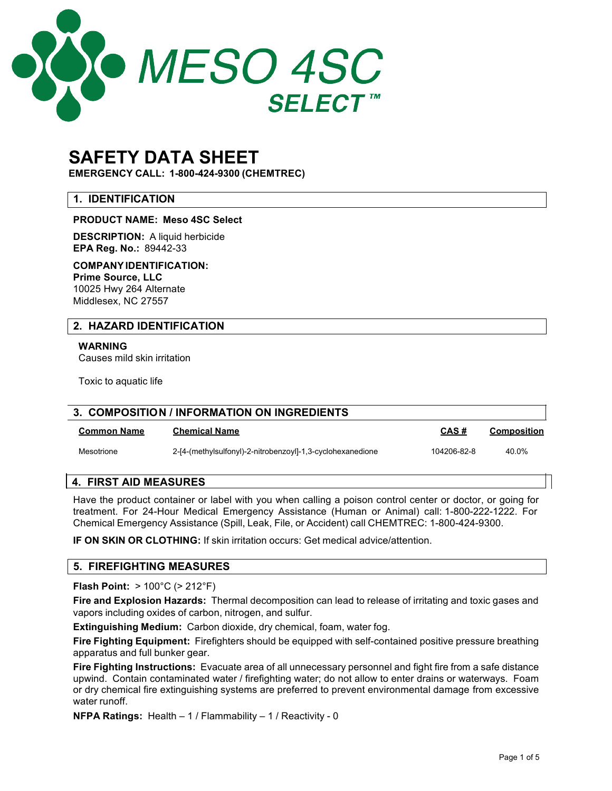

# **SAFETY DATA SHEET**

**EMERGENCY CALL: 1-800-424-9300 (CHEMTREC)**

# **1. IDENTIFICATION**

## **PRODUCT NAME: Meso 4SC Select**

**DESCRIPTION:** A liquid herbicide **EPA Reg. No.:** 89442-33

**COMPANYIDENTIFICATION: Prime Source, LLC** 10025 Hwy 264 Alternate Middlesex, NC 27557

# **2. HAZARD IDENTIFICATION**

**WARNING** Causes mild skin irritation

Toxic to aquatic life

| 3. COMPOSITION / INFORMATION ON INGREDIENTS |                                                            |             |             |
|---------------------------------------------|------------------------------------------------------------|-------------|-------------|
| <b>Common Name</b>                          | Chemical Name                                              | CAS#        | Composition |
| Mesotrione                                  | 2-[4-(methylsulfonyl)-2-nitrobenzoyl]-1,3-cyclohexanedione | 104206-82-8 | 40.0%       |

## **4. FIRST AID MEASURES**

Have the product container or label with you when calling a poison control center or doctor, or going for treatment. For 24-Hour Medical Emergency Assistance (Human or Animal) call: 1-800-222-1222. For Chemical Emergency Assistance (Spill, Leak, File, or Accident) call CHEMTREC: 1-800-424-9300.

**IF ON SKIN OR CLOTHING:** If skin irritation occurs: Get medical advice/attention.

## **5. FIREFIGHTING MEASURES**

**Flash Point:** > 100°C (> 212°F)

**Fire and Explosion Hazards:** Thermal decomposition can lead to release of irritating and toxic gases and vapors including oxides of carbon, nitrogen, and sulfur.

**Extinguishing Medium:** Carbon dioxide, dry chemical, foam, water fog.

**Fire Fighting Equipment:** Firefighters should be equipped with self-contained positive pressure breathing apparatus and full bunker gear.

**Fire Fighting Instructions:** Evacuate area of all unnecessary personnel and fight fire from a safe distance upwind. Contain contaminated water / firefighting water; do not allow to enter drains or waterways. Foam or dry chemical fire extinguishing systems are preferred to prevent environmental damage from excessive water runoff.

**NFPA Ratings:** Health – 1 / Flammability – 1 / Reactivity - 0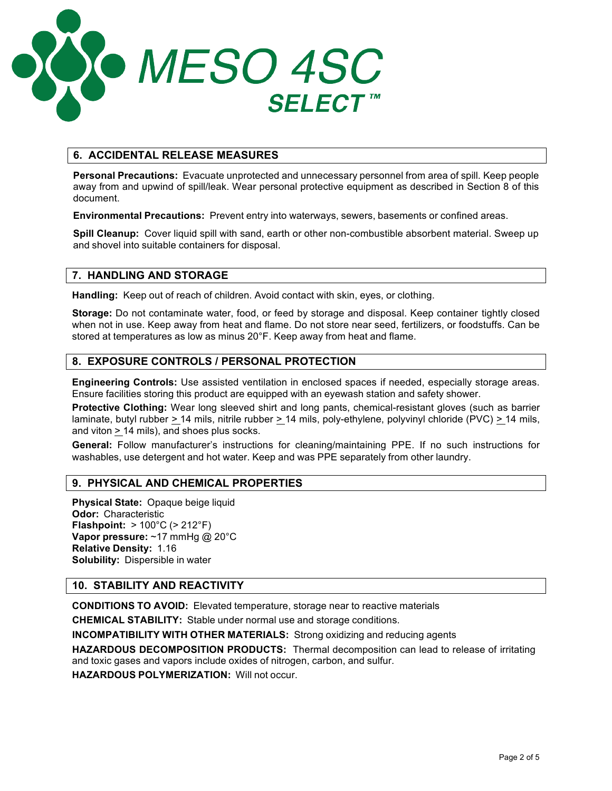

# **6. ACCIDENTAL RELEASE MEASURES**

**Personal Precautions:** Evacuate unprotected and unnecessary personnel from area of spill. Keep people away from and upwind of spill/leak. Wear personal protective equipment as described in Section 8 of this document.

**Environmental Precautions:** Prevent entry into waterways, sewers, basements or confined areas.

**Spill Cleanup:** Cover liquid spill with sand, earth or other non-combustible absorbent material. Sweep up and shovel into suitable containers for disposal.

## **7. HANDLING AND STORAGE**

**Handling:** Keep out of reach of children. Avoid contact with skin, eyes, or clothing.

**Storage:** Do not contaminate water, food, or feed by storage and disposal. Keep container tightly closed when not in use. Keep away from heat and flame. Do not store near seed, fertilizers, or foodstuffs. Can be stored at temperatures as low as minus 20°F. Keep away from heat and flame.

## **8. EXPOSURE CONTROLS / PERSONAL PROTECTION**

**Engineering Controls:** Use assisted ventilation in enclosed spaces if needed, especially storage areas. Ensure facilities storing this product are equipped with an eyewash station and safety shower.

**Protective Clothing:** Wear long sleeved shirt and long pants, chemical-resistant gloves (such as barrier laminate, butyl rubber *>* 14 mils, nitrile rubber > 14 mils, poly-ethylene, polyvinyl chloride (PVC) > 14 mils, and viton > 14 mils), and shoes plus socks.

**General:** Follow manufacturer's instructions for cleaning/maintaining PPE. If no such instructions for washables, use detergent and hot water. Keep and was PPE separately from other laundry.

## **9. PHYSICAL AND CHEMICAL PROPERTIES**

**Physical State:** Opaque beige liquid **Odor:** Characteristic **Flashpoint:** > 100°C (> 212°F) **Vapor pressure:** ~17 mmHg @ 20°C **Relative Density:** 1.16 **Solubility:** Dispersible in water

## **10. STABILITY AND REACTIVITY**

**CONDITIONS TO AVOID:** Elevated temperature, storage near to reactive materials

**CHEMICAL STABILITY:** Stable under normal use and storage conditions.

**INCOMPATIBILITY WITH OTHER MATERIALS:** Strong oxidizing and reducing agents

**HAZARDOUS DECOMPOSITION PRODUCTS:** Thermal decomposition can lead to release of irritating and toxic gases and vapors include oxides of nitrogen, carbon, and sulfur.

**HAZARDOUS POLYMERIZATION:** Will not occur.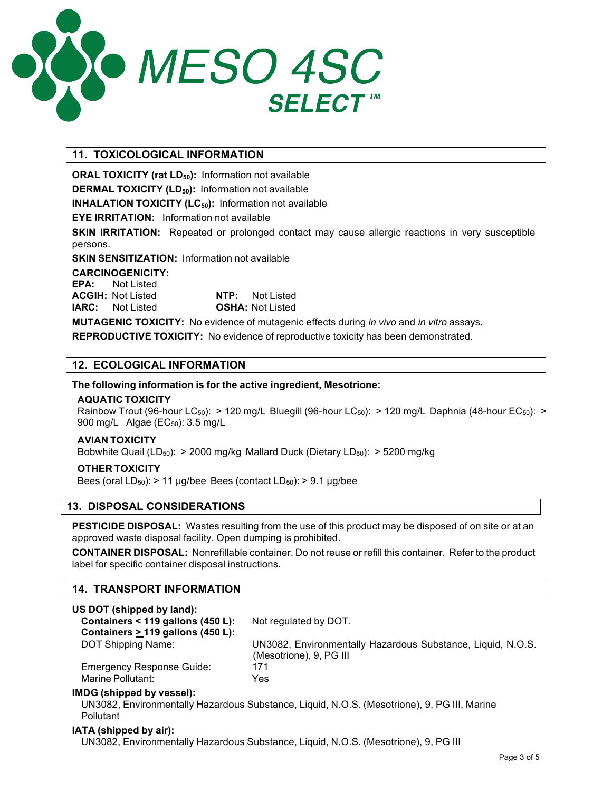

# **11. TOXICOLOGICAL INFORMATION**

**ORAL TOXICITY** (rat LD<sub>50</sub>): Information not available

**DERMAL TOXICITY (LD<sub>50</sub>):** Information not available

**INHALATION TOXICITY (LC<sub>50</sub>):** Information not available

**EYE IRRITATION:** Information not available

**SKIN IRRITATION:** Repeated or prolonged contact may cause allergic reactions in very susceptible persons.

**SKIN SENSITIZATION:** Information not available

#### **CARCINOGENICITY:**

**EPA:** Not Listed **ACGIH:** Not Listed **NTP:** Not Listed **IARC:** Not Listed **OSHA:** Not Listed

**MUTAGENIC TOXICITY:** No evidence of mutagenic effects during *in vivo* and *in vitro* assays.

**REPRODUCTIVE TOXICITY:** No evidence of reproductive toxicity has been demonstrated.

## **12. ECOLOGICAL INFORMATION**

## **The following information is for the active ingredient, Mesotrione:**

#### **AQUATIC TOXICITY**

Rainbow Trout (96-hour LC<sub>50</sub>): > 120 mg/L Bluegill (96-hour LC<sub>50</sub>): > 120 mg/L Daphnia (48-hour EC<sub>50</sub>): > 900 mg/L Algae (EC<sub>50</sub>): 3.5 mg/L

## **AVIAN TOXICITY**

Bobwhite Quail (LD<sub>50</sub>): > 2000 mg/kg Mallard Duck (Dietary LD<sub>50</sub>): > 5200 mg/kg

## **OTHER TOXICITY**

Bees (oral  $LD_{50}$ ): > 11 µg/bee Bees (contact  $LD_{50}$ ): > 9.1 µg/bee

## **13. DISPOSAL CONSIDERATIONS**

**PESTICIDE DISPOSAL:** Wastes resulting from the use of this product may be disposed of on site or at an approved waste disposal facility. Open dumping is prohibited.

**CONTAINER DISPOSAL:** Nonrefillable container. Do not reuse or refill this container. Refer to the product label for specific container disposal instructions.

## **14. TRANSPORT INFORMATION**

| US DOT (shipped by land):              |                                                                                             |
|----------------------------------------|---------------------------------------------------------------------------------------------|
| Containers < 119 gallons (450 L):      | Not regulated by DOT.                                                                       |
| Containers $\geq$ 119 gallons (450 L): |                                                                                             |
| DOT Shipping Name:                     | UN3082, Environmentally Hazardous Substance, Liquid, N.O.S.                                 |
|                                        | (Mesotrione), 9, PG III                                                                     |
| <b>Emergency Response Guide:</b>       | 171                                                                                         |
| Marine Pollutant:                      | Yes                                                                                         |
| IMDG (shipped by vessel):              |                                                                                             |
| Pollutant                              | UN3082, Environmentally Hazardous Substance, Liquid, N.O.S. (Mesotrione), 9, PG III, Marine |
|                                        |                                                                                             |

#### **IATA (shipped by air):**

UN3082, Environmentally Hazardous Substance, Liquid, N.O.S. (Mesotrione), 9, PG III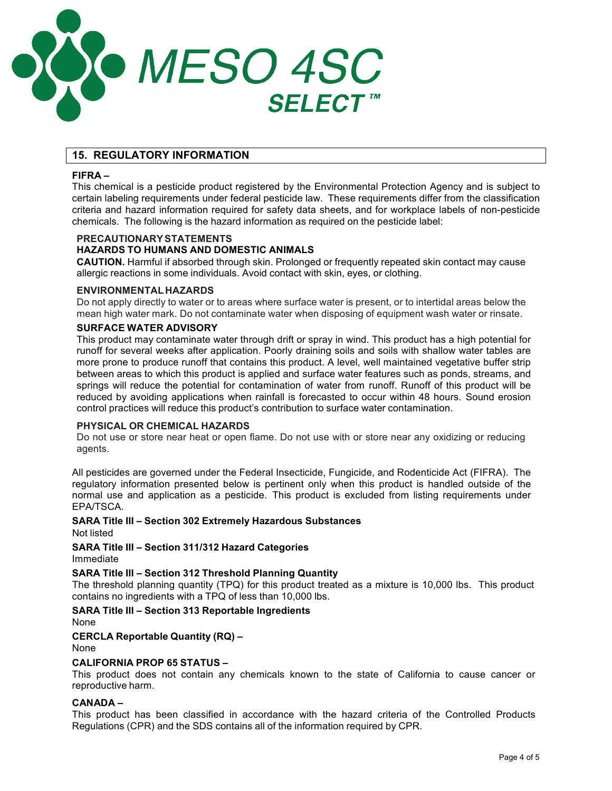

# **15. REGULATORY INFORMATION**

#### **FIFRA –**

This chemical is a pesticide product registered by the Environmental Protection Agency and is subject to certain labeling requirements under federal pesticide law. These requirements differ from the classification criteria and hazard information required for safety data sheets, and for workplace labels of non-pesticide chemicals. The following is the hazard information as required on the pesticide label:

#### **PRECAUTIONARYSTATEMENTS**

## **HAZARDS TO HUMANS AND DOMESTIC ANIMALS**

**CAUTION.** Harmful if absorbed through skin. Prolonged or frequently repeated skin contact may cause allergic reactions in some individuals. Avoid contact with skin, eyes, or clothing.

#### **ENVIRONMENTAL HAZARDS**

Do not apply directly to water or to areas where surface water is present, or to intertidal areas below the mean high water mark. Do not contaminate water when disposing of equipment wash water or rinsate.

#### **SURFACE WATER ADVISORY**

This product may contaminate water through drift or spray in wind. This product has a high potential for runoff for several weeks after application. Poorly draining soils and soils with shallow water tables are more prone to produce runoff that contains this product. A level, well maintained vegetative buffer strip between areas to which this product is applied and surface water features such as ponds, streams, and springs will reduce the potential for contamination of water from runoff. Runoff of this product will be reduced by avoiding applications when rainfall is forecasted to occur within 48 hours. Sound erosion control practices will reduce this product's contribution to surface water contamination.

#### **PHYSICAL OR CHEMICAL HAZARDS**

Do not use or store near heat or open flame. Do not use with or store near any oxidizing or reducing agents.

All pesticides are governed under the Federal Insecticide, Fungicide, and Rodenticide Act (FIFRA). The regulatory information presented below is pertinent only when this product is handled outside of the normal use and application as a pesticide. This product is excluded from listing requirements under EPA/TSCA.

## **SARA Title III – Section 302 Extremely Hazardous Substances**

Not listed

**SARA Title III – Section 311/312 Hazard Categories** Immediate

## **SARA Title III – Section 312 Threshold Planning Quantity**

The threshold planning quantity (TPQ) for this product treated as a mixture is 10,000 lbs. This product contains no ingredients with a TPQ of less than 10,000 lbs.

## **SARA Title III – Section 313 Reportable Ingredients**

None

## **CERCLA Reportable Quantity (RQ) –**

None

## **CALIFORNIA PROP 65 STATUS –**

This product does not contain any chemicals known to the state of California to cause cancer or reproductive harm.

# **CANADA –**

This product has been classified in accordance with the hazard criteria of the Controlled Products Regulations (CPR) and the SDS contains all of the information required by CPR.